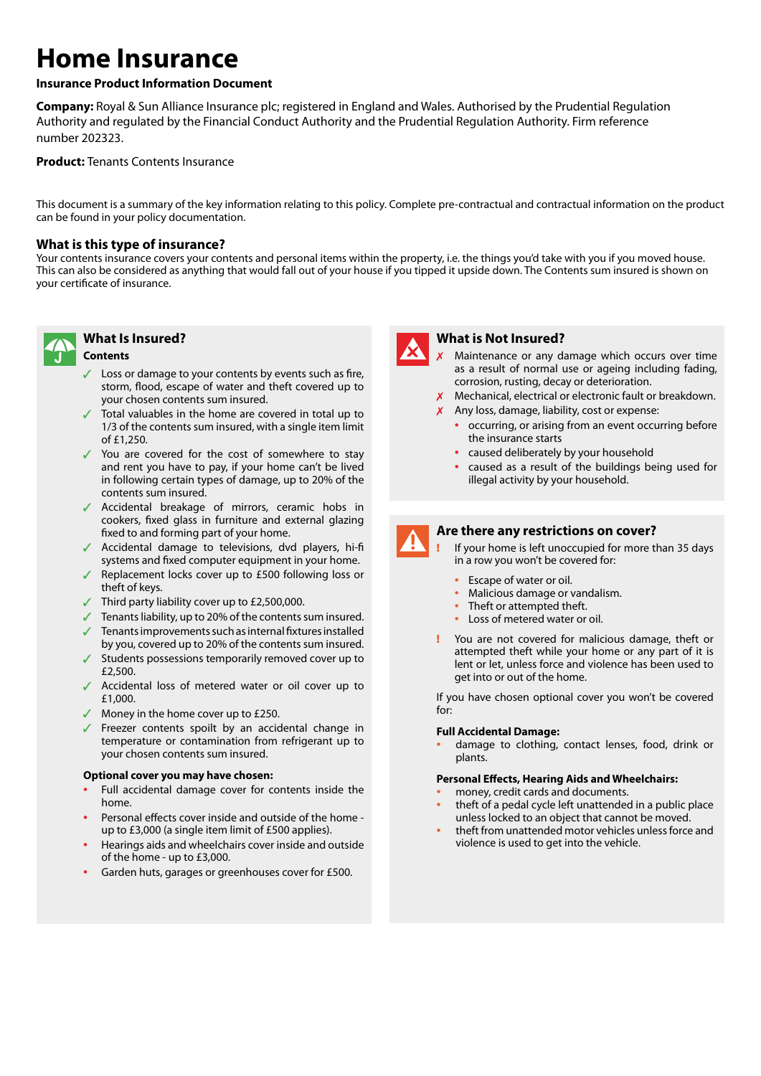# **Home Insurance**

## **Insurance Product Information Document**

**Company:** Royal & Sun Alliance Insurance plc; registered in England and Wales. Authorised by the Prudential Regulation Authority and regulated by the Financial Conduct Authority and the Prudential Regulation Authority. Firm reference number 202323.

## **Product:** Tenants Contents Insurance

This document is a summary of the key information relating to this policy. Complete pre-contractual and contractual information on the product can be found in your policy documentation.

## **What is this type of insurance?**

Your contents insurance covers your contents and personal items within the property, i.e. the things you'd take with you if you moved house. This can also be considered as anything that would fall out of your house if you tipped it upside down. The Contents sum insured is shown on your certificate of insurance.



## **What Is Insured?**

#### **Contents**

- $\angle$  Loss or damage to your contents by events such as fire, storm, flood, escape of water and theft covered up to your chosen contents sum insured.
- $\sqrt{ }$  Total valuables in the home are covered in total up to 1/3 of the contents sum insured, with a single item limit of £1,250.
- $\checkmark$  You are covered for the cost of somewhere to stay and rent you have to pay, if your home can't be lived in following certain types of damage, up to 20% of the contents sum insured.
- Accidental breakage of mirrors, ceramic hobs in cookers, fixed glass in furniture and external glazing fixed to and forming part of your home.
- $\sqrt{\phantom{a}}$  Accidental damage to televisions, dvd players, hi-fi systems and fixed computer equipment in your home.
- $\sqrt{\phantom{a}}$  Replacement locks cover up to £500 following loss or theft of keys.
- $\sqrt{ }$  Third party liability cover up to £2,500,000.
- $\sqrt{ }$  Tenants liability, up to 20% of the contents sum insured.
- Tenants improvements such as internal fixtures installed by you, covered up to 20% of the contents sum insured.
- $\checkmark$  Students possessions temporarily removed cover up to £2,500.
- Accidental loss of metered water or oil cover up to £1,000.
- $\sqrt{\phantom{a}}$  Money in the home cover up to £250.
- $\sqrt{ }$  Freezer contents spoilt by an accidental change in temperature or contamination from refrigerant up to your chosen contents sum insured.

#### **Optional cover you may have chosen:**

- Full accidental damage cover for contents inside the home.
- Personal effects cover inside and outside of the home up to £3,000 (a single item limit of £500 applies).
- Hearings aids and wheelchairs cover inside and outside of the home - up to £3,000.
- Garden huts, garages or greenhouses cover for £500.



#### **What is Not Insured?**

- Maintenance or any damage which occurs over time as a result of normal use or ageing including fading, corrosion, rusting, decay or deterioration.
- $X$  Mechanical, electrical or electronic fault or breakdown.
- $x$  Any loss, damage, liability, cost or expense:
	- occurring, or arising from an event occurring before the insurance starts
	- caused deliberately by your household
	- caused as a result of the buildings being used for illegal activity by your household.



## **Are there any restrictions on cover?**

If your home is left unoccupied for more than 35 days in a row you won't be covered for:

- Escape of water or oil.
- Malicious damage or vandalism.
- Theft or attempted theft.
- Loss of metered water or oil.
- ! You are not covered for malicious damage, theft or attempted theft while your home or any part of it is lent or let, unless force and violence has been used to get into or out of the home.

If you have chosen optional cover you won't be covered for:

#### **Full Accidental Damage:**

• damage to clothing, contact lenses, food, drink or plants.

#### **Personal Effects, Hearing Aids and Wheelchairs:**

- money, credit cards and documents.
- theft of a pedal cycle left unattended in a public place unless locked to an object that cannot be moved.
- theft from unattended motor vehicles unless force and violence is used to get into the vehicle.